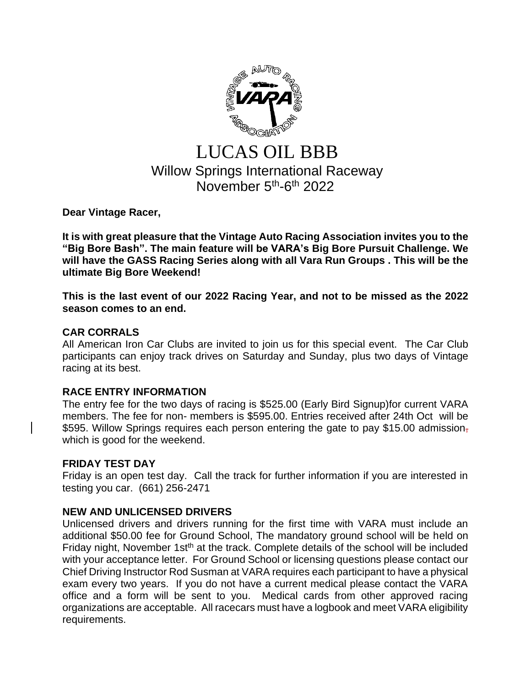

# LUCAS OIL BBB Willow Springs International Raceway November 5<sup>th</sup>-6<sup>th</sup> 2022

**Dear Vintage Racer,**

**It is with great pleasure that the Vintage Auto Racing Association invites you to the "Big Bore Bash". The main feature will be VARA's Big Bore Pursuit Challenge. We will have the GASS Racing Series along with all Vara Run Groups . This will be the ultimate Big Bore Weekend!**

**This is the last event of our 2022 Racing Year, and not to be missed as the 2022 season comes to an end.**

## **CAR CORRALS**

All American Iron Car Clubs are invited to join us for this special event. The Car Club participants can enjoy track drives on Saturday and Sunday, plus two days of Vintage racing at its best.

# **RACE ENTRY INFORMATION**

The entry fee for the two days of racing is \$525.00 (Early Bird Signup)for current VARA members. The fee for non- members is \$595.00. Entries received after 24th Oct will be \$595. Willow Springs requires each person entering the gate to pay \$15.00 admission, which is good for the weekend.

### **FRIDAY TEST DAY**

Friday is an open test day. Call the track for further information if you are interested in testing you car. (661) 256-2471

# **NEW AND UNLICENSED DRIVERS**

Unlicensed drivers and drivers running for the first time with VARA must include an additional \$50.00 fee for Ground School, The mandatory ground school will be held on Friday night, November 1st<sup>th</sup> at the track. Complete details of the school will be included with your acceptance letter. For Ground School or licensing questions please contact our Chief Driving Instructor Rod Susman at VARA requires each participant to have a physical exam every two years. If you do not have a current medical please contact the VARA office and a form will be sent to you. Medical cards from other approved racing organizations are acceptable. All racecars must have a logbook and meet VARA eligibility requirements.